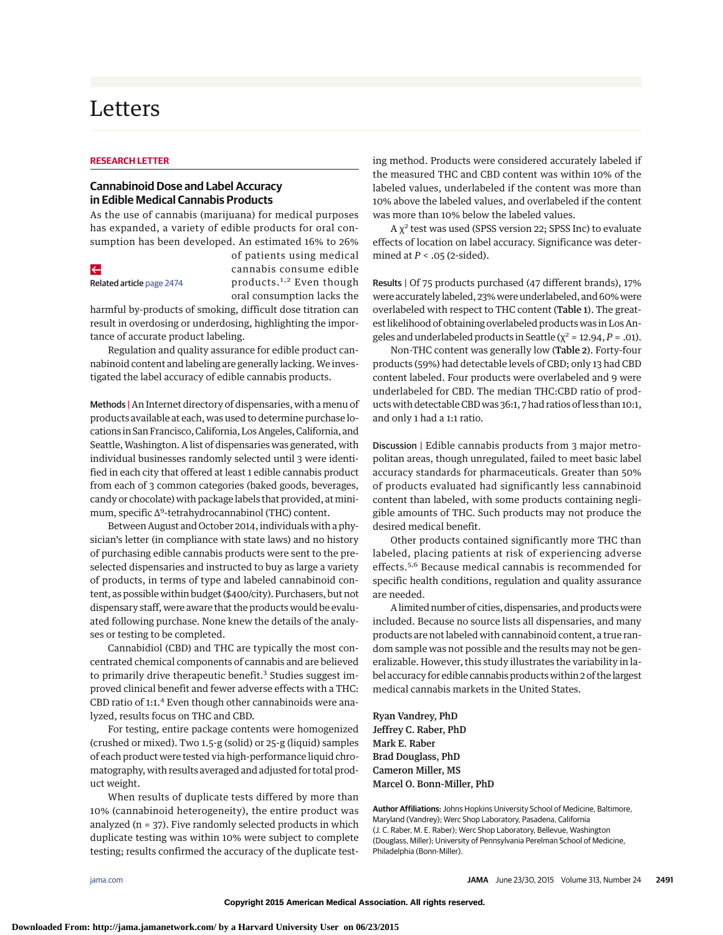# Letters

#### **RESEARCH LETTER**

## **Cannabinoid Dose and Label Accuracy in Edible Medical Cannabis Products**

As the use of cannabis (marijuana) for medical purposes has expanded, a variety of edible products for oral consumption has been developed. An estimated 16% to 26%

#### $\leftarrow$

Related article [page 2474](http://jama.jamanetwork.com/article.aspx?doi=10.1001/jama.2015.6199&utm_campaign=articlePDF%26utm_medium=articlePDFlink%26utm_source=articlePDF%26utm_content=jama.2015.6613)

of patients using medical cannabis consume edible products.<sup>1,2</sup> Even though oral consumption lacks the

harmful by-products of smoking, difficult dose titration can result in overdosing or underdosing, highlighting the importance of accurate product labeling.

Regulation and quality assurance for edible product cannabinoid content and labeling are generally lacking. We investigated the label accuracy of edible cannabis products.

Methods | An Internet directory of dispensaries, with a menu of products available at each, was used to determine purchase locations in San Francisco, California, Los Angeles, California, and Seattle, Washington. A list of dispensaries was generated, with individual businesses randomly selected until 3 were identified in each city that offered at least 1 edible cannabis product from each of 3 common categories (baked goods, beverages, candy or chocolate) with package labels that provided, atminimum, specific Δ<sup>9</sup>-tetrahydrocannabinol (THC) content.

Between August and October 2014, individuals with a physician's letter (in compliance with state laws) and no history of purchasing edible cannabis products were sent to the preselected dispensaries and instructed to buy as large a variety of products, in terms of type and labeled cannabinoid content, as possible within budget (\$400/city). Purchasers, but not dispensary staff, were aware that the products would be evaluated following purchase. None knew the details of the analyses or testing to be completed.

Cannabidiol (CBD) and THC are typically the most concentrated chemical components of cannabis and are believed to primarily drive therapeutic benefit.<sup>3</sup> Studies suggest improved clinical benefit and fewer adverse effects with a THC: CBD ratio of 1:1.4 Even though other cannabinoids were analyzed, results focus on THC and CBD.

For testing, entire package contents were homogenized (crushed or mixed). Two 1.5-g (solid) or 25-g (liquid) samples of each product were tested via high-performance liquid chromatography, with results averaged and adjusted for total product weight.

When results of duplicate tests differed by more than 10% (cannabinoid heterogeneity), the entire product was analyzed ( $n = 37$ ). Five randomly selected products in which duplicate testing was within 10% were subject to complete testing; results confirmed the accuracy of the duplicate testing method. Products were considered accurately labeled if the measured THC and CBD content was within 10% of the labeled values, underlabeled if the content was more than 10% above the labeled values, and overlabeled if the content was more than 10% below the labeled values.

 $A \chi^2$  test was used (SPSS version 22; SPSS Inc) to evaluate effects of location on label accuracy. Significance was determined at *P* < .05 (2-sided).

Results | Of 75 products purchased (47 different brands), 17% were accurately labeled, 23% were underlabeled, and 60% were overlabeled with respect to THC content (Table 1). The greatest likelihood of obtaining overlabeled products was in Los Angeles and underlabeled products in Seattle ( $\chi^2$  = 12.94, *P* = .01).

Non-THC content was generally low (Table 2). Forty-four products (59%) had detectable levels of CBD; only 13 had CBD content labeled. Four products were overlabeled and 9 were underlabeled for CBD. The median THC:CBD ratio of products with detectable CBD was 36:1, 7 had ratios of less than 10:1, and only 1 had a 1:1 ratio.

Discussion | Edible cannabis products from 3 major metropolitan areas, though unregulated, failed to meet basic label accuracy standards for pharmaceuticals. Greater than 50% of products evaluated had significantly less cannabinoid content than labeled, with some products containing negligible amounts of THC. Such products may not produce the desired medical benefit.

Other products contained significantly more THC than labeled, placing patients at risk of experiencing adverse effects.5,6 Because medical cannabis is recommended for specific health conditions, regulation and quality assurance are needed.

A limited number of cities, dispensaries, and productswere included. Because no source lists all dispensaries, and many products are not labeled with cannabinoid content, a true random sample was not possible and the results may not be generalizable. However, this study illustrates the variability in label accuracy for edible cannabis products within 2 of the largest medical cannabis markets in the United States.

Ryan Vandrey, PhD Jeffrey C. Raber, PhD Mark E. Raber Brad Douglass, PhD Cameron Miller, MS Marcel O. Bonn-Miller, PhD

**Author Affiliations:** Johns Hopkins University School of Medicine, Baltimore, Maryland (Vandrey); Werc Shop Laboratory, Pasadena, California (J. C. Raber, M. E. Raber); Werc Shop Laboratory, Bellevue, Washington (Douglass, Miller); University of Pennsylvania Perelman School of Medicine, Philadelphia (Bonn-Miller).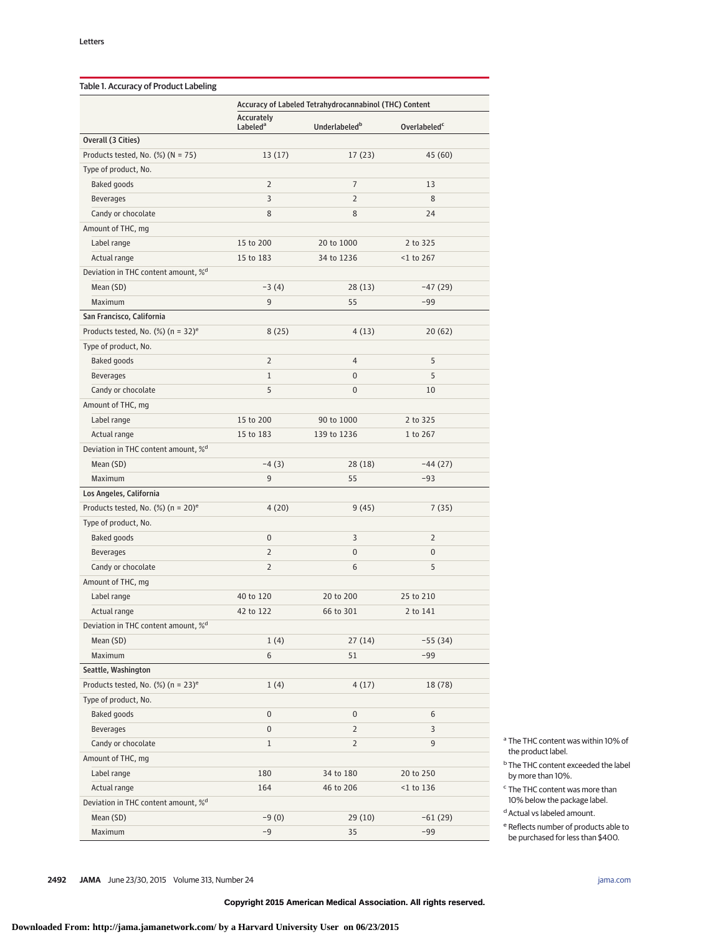|                                                   | Accuracy of Labeled Tetrahydrocannabinol (THC) Content |                           |                          |  |
|---------------------------------------------------|--------------------------------------------------------|---------------------------|--------------------------|--|
|                                                   | Accurately<br>Labeled <sup>a</sup>                     | Underlabeled <sup>b</sup> | Overlabeled <sup>c</sup> |  |
| Overall (3 Cities)                                |                                                        |                           |                          |  |
| Products tested, No. $(\%)$ (N = 75)              | 13(17)                                                 | 17(23)                    | 45 (60)                  |  |
| Type of product, No.                              |                                                        |                           |                          |  |
| Baked goods                                       | $\overline{2}$                                         | $\overline{7}$            | 13                       |  |
| <b>Beverages</b>                                  | 3                                                      | 2                         | 8                        |  |
| Candy or chocolate                                | 8                                                      | 8                         | 24                       |  |
| Amount of THC, mg                                 |                                                        |                           |                          |  |
| Label range                                       | 15 to 200                                              | 20 to 1000                | 2 to 325                 |  |
| Actual range                                      | 15 to 183                                              | 34 to 1236                | $<$ 1 to 267             |  |
| Deviation in THC content amount, % <sup>d</sup>   |                                                        |                           |                          |  |
| Mean (SD)                                         | $-3(4)$                                                | 28(13)                    | $-47(29)$                |  |
| Maximum                                           | 9                                                      | 55                        | $-99$                    |  |
| San Francisco, California                         |                                                        |                           |                          |  |
| Products tested, No. $(\%)$ (n = 32) <sup>e</sup> | 8(25)                                                  | 4(13)                     | 20(62)                   |  |
| Type of product, No.                              |                                                        |                           |                          |  |
| Baked goods                                       | $\overline{2}$                                         | 4                         | 5                        |  |
| <b>Beverages</b>                                  | $\mathbf{1}$                                           | 0                         | 5                        |  |
| Candy or chocolate                                | 5                                                      | 0                         | 10                       |  |
| Amount of THC, mg                                 |                                                        |                           |                          |  |
| Label range                                       | 15 to 200                                              | 90 to 1000                | 2 to 325                 |  |
| Actual range                                      | 15 to 183                                              | 139 to 1236               | 1 to 267                 |  |
| Deviation in THC content amount, % <sup>d</sup>   |                                                        |                           |                          |  |
| Mean (SD)                                         | $-4(3)$                                                | 28 (18)                   | $-44(27)$                |  |
| Maximum                                           | 9                                                      | 55                        | $-93$                    |  |
| Los Angeles, California                           |                                                        |                           |                          |  |
| Products tested, No. $(\%)$ (n = 20) <sup>e</sup> | 4(20)                                                  | 9(45)                     | 7(35)                    |  |
| Type of product, No.                              |                                                        |                           |                          |  |
| Baked goods                                       | $\mathbf{0}$                                           | 3                         | 2                        |  |
| <b>Beverages</b>                                  | $\overline{2}$                                         | 0                         | $\mathbf{0}$             |  |
|                                                   | $\overline{2}$                                         | 6                         | 5                        |  |
| Candy or chocolate                                |                                                        |                           |                          |  |
| Amount of THC, mg                                 |                                                        |                           |                          |  |
| Label range                                       | 40 to 120                                              | 20 to 200                 | 25 to 210                |  |
| Actual range                                      | 42 to 122                                              | 66 to 301                 | 2 to 141                 |  |
| Deviation in THC content amount, % <sup>d</sup>   |                                                        |                           |                          |  |
| Mean (SD)                                         | 1(4)                                                   | 27(14)                    | $-55(34)$                |  |
| Maximum                                           | 6                                                      | 51                        | $-99$                    |  |
| Seattle, Washington                               |                                                        |                           |                          |  |
| Products tested, No. $(\%)$ (n = 23) <sup>e</sup> | 1(4)                                                   | 4(17)                     | 18 (78)                  |  |
| Type of product, No.                              |                                                        |                           |                          |  |
| Baked goods                                       | $\pmb{0}$                                              | 0                         | 6                        |  |
| <b>Beverages</b>                                  | 0                                                      | 2                         | 3                        |  |
| Candy or chocolate                                | 1                                                      | $\overline{2}$            | 9                        |  |
| Amount of THC, mg                                 |                                                        |                           |                          |  |
| Label range                                       | 180                                                    | 34 to 180                 | 20 to 250                |  |
| Actual range                                      | 164                                                    | 46 to 206                 | $<$ 1 to 136             |  |
| Deviation in THC content amount, % <sup>d</sup>   |                                                        |                           |                          |  |
| Mean (SD)                                         | $-9(0)$                                                | 29(10)                    | $-61(29)$                |  |
| Maximum                                           | $-9$                                                   | 35                        | -99                      |  |

<sup>a</sup> The THC content was within 10% of the product label.

<sup>b</sup> The THC content exceeded the label by more than 10%.

<sup>c</sup> The THC content was more than 10% below the package label.

<sup>d</sup> Actual vs labeled amount.

<sup>e</sup> Reflects number of products able to be purchased for less than \$400.

**2492 JAMA** June 23/30, 2015 Volume 313, Number 24 **(Reprinted)** in the state of the state of the state of the state of the state of the state of the state of the state of the state of the state of the state of the state o